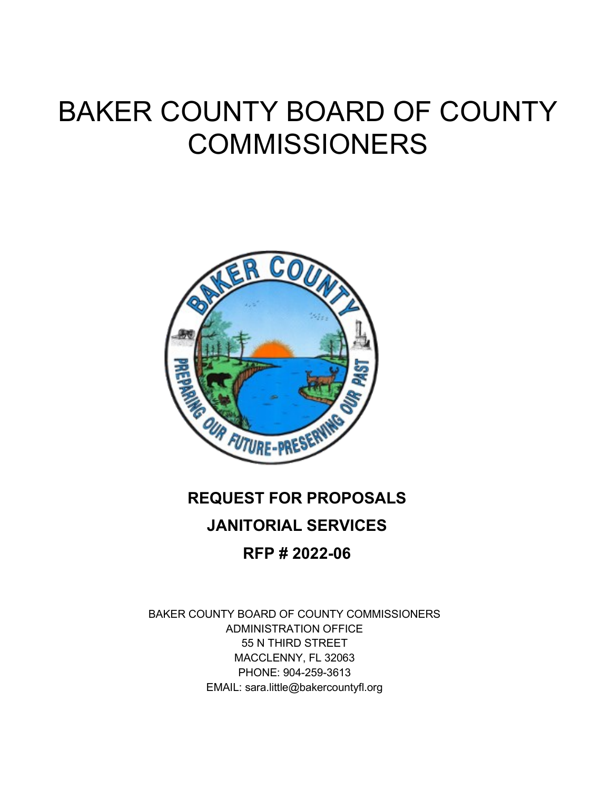# BAKER COUNTY BOARD OF COUNTY COMMISSIONERS



## **REQUEST FOR PROPOSALS JANITORIAL SERVICES RFP # 2022-06**

BAKER COUNTY BOARD OF COUNTY COMMISSIONERS ADMINISTRATION OFFICE 55 N THIRD STREET MACCLENNY, FL 32063 PHONE: 904-259-3613 EMAIL: sara.little@bakercountyfl.org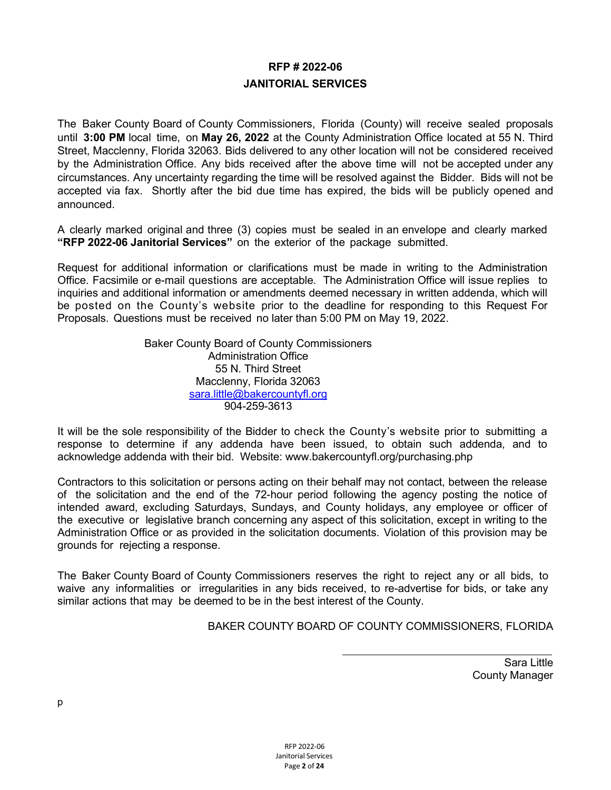#### **RFP # 2022-06 JANITORIAL SERVICES**

The Baker County Board of County Commissioners, Florida (County) will receive sealed proposals until **3:00 PM** local time, on **May 26, 2022** at the County Administration Office located at 55 N. Third Street, Macclenny, Florida 32063. Bids delivered to any other location will not be considered received by the Administration Office. Any bids received after the above time will not be accepted under any circumstances. Any uncertainty regarding the time will be resolved against the Bidder. Bids will not be accepted via fax. Shortly after the bid due time has expired, the bids will be publicly opened and announced.

A clearly marked original and three (3) copies must be sealed in an envelope and clearly marked **"RFP 2022-06 Janitorial Services"** on the exterior of the package submitted.

Request for additional information or clarifications must be made in writing to the Administration Office. Facsimile or e-mail questions are acceptable. The Administration Office will issue replies to inquiries and additional information or amendments deemed necessary in written addenda, which will be posted on the County's website prior to the deadline for responding to this Request For Proposals. Questions must be received no later than 5:00 PM on May 19, 2022.

> Baker County Board of County Commissioners Administration Office 55 N. Third Street Macclenny, Florida 32063 [sara.little@bakercountyfl.org](mailto:kennie.downing@bakercountyfl.org) 904-259-3613

It will be the sole responsibility of the Bidder to check the County's website prior to submitting a response to determine if any addenda have been issued, to obtain such addenda, and to acknowledge addenda with their bid. Website: www.bakercountyfl.org/purchasing.php

Contractors to this solicitation or persons acting on their behalf may not contact, between the release of the solicitation and the end of the 72-hour period following the agency posting the notice of intended award, excluding Saturdays, Sundays, and County holidays, any employee or officer of the executive or legislative branch concerning any aspect of this solicitation, except in writing to the Administration Office or as provided in the solicitation documents. Violation of this provision may be grounds for rejecting a response.

The Baker County Board of County Commissioners reserves the right to reject any or all bids, to waive any informalities or irregularities in any bids received, to re-advertise for bids, or take any similar actions that may be deemed to be in the best interest of the County.

BAKER COUNTY BOARD OF COUNTY COMMISSIONERS, FLORIDA

Sara Little County Manager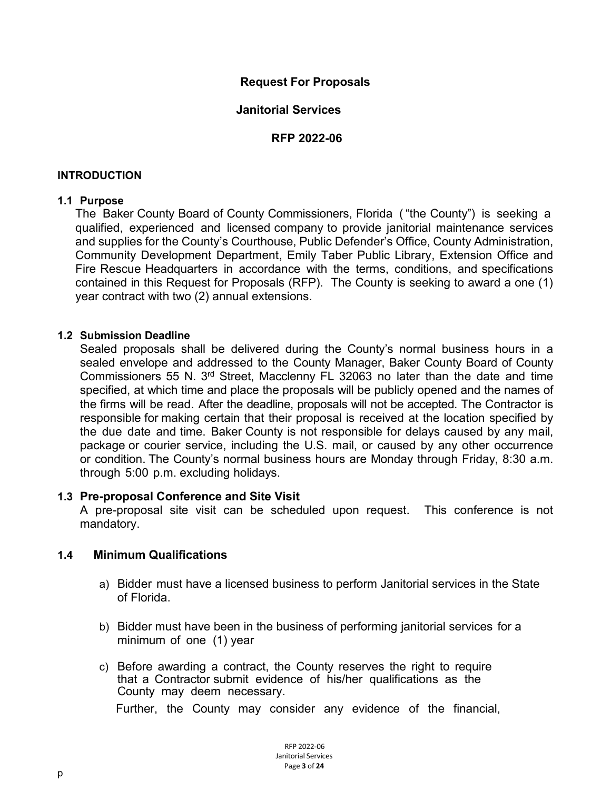#### **Request For Proposals**

#### **Janitorial Services**

#### **RFP 2022-06**

#### **INTRODUCTION**

#### **1.1 Purpose**

The Baker County Board of County Commissioners, Florida ( "the County") is seeking a qualified, experienced and licensed company to provide janitorial maintenance services and supplies for the County's Courthouse, Public Defender's Office, County Administration, Community Development Department, Emily Taber Public Library, Extension Office and Fire Rescue Headquarters in accordance with the terms, conditions, and specifications contained in this Request for Proposals (RFP). The County is seeking to award a one (1) year contract with two (2) annual extensions.

#### **1.2 Submission Deadline**

Sealed proposals shall be delivered during the County's normal business hours in a sealed envelope and addressed to the County Manager, Baker County Board of County Commissioners 55 N. 3rd Street, Macclenny FL 32063 no later than the date and time specified, at which time and place the proposals will be publicly opened and the names of the firms will be read. After the deadline, proposals will not be accepted. The Contractor is responsible for making certain that their proposal is received at the location specified by the due date and time. Baker County is not responsible for delays caused by any mail, package or courier service, including the U.S. mail, or caused by any other occurrence or condition. The County's normal business hours are Monday through Friday, 8:30 a.m. through 5:00 p.m. excluding holidays.

#### **1.3 Pre-proposal Conference and Site Visit**

A pre-proposal site visit can be scheduled upon request. This conference is not mandatory.

#### **1.4 Minimum Qualifications**

- a) Bidder must have a licensed business to perform Janitorial services in the State of Florida.
- b) Bidder must have been in the business of performing janitorial services for a minimum of one (1) year
- c) Before awarding a contract, the County reserves the right to require that a Contractor submit evidence of his/her qualifications as the County may deem necessary.

Further, the County may consider any evidence of the financial,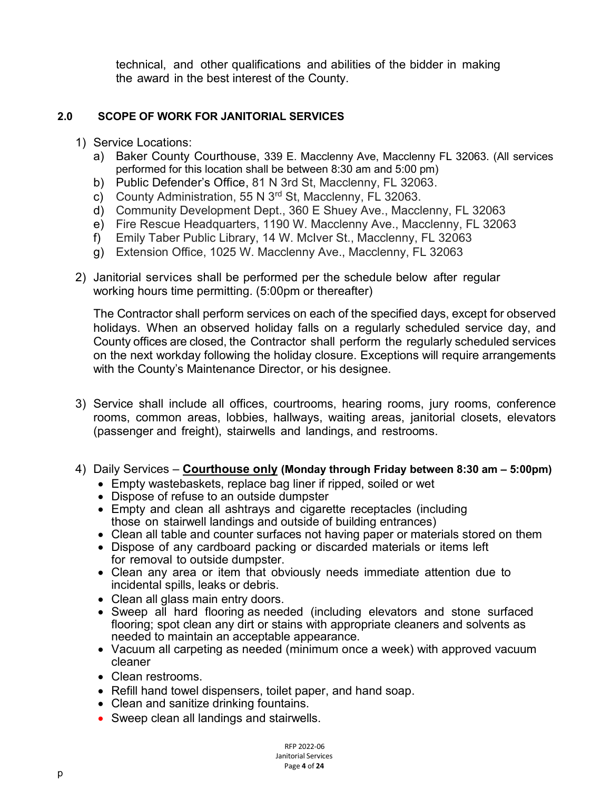technical, and other qualifications and abilities of the bidder in making the award in the best interest of the County.

#### **2.0 SCOPE OF WORK FOR JANITORIAL SERVICES**

- 1) Service Locations:
	- a) Baker County Courthouse, 339 E. Macclenny Ave, Macclenny FL 32063. (All services performed for this location shall be between 8:30 am and 5:00 pm)
	- b) Public Defender's Office, 81 N 3rd St, Macclenny, FL 32063.
	- c) County Administration, 55 N 3<sup>rd</sup> St, Macclenny, FL 32063.
	- d) Community Development Dept., 360 E Shuey Ave., Macclenny, FL 32063
	- e) Fire Rescue Headquarters, 1190 W. Macclenny Ave., Macclenny, FL 32063
	- f) Emily Taber Public Library, 14 W. McIver St., Macclenny, FL 32063
	- g) Extension Office, 1025 W. Macclenny Ave., Macclenny, FL 32063
- 2) Janitorial services shall be performed per the schedule below after regular working hours time permitting. (5:00pm or thereafter)

The Contractor shall perform services on each of the specified days, except for observed holidays. When an observed holiday falls on a regularly scheduled service day, and County offices are closed, the Contractor shall perform the regularly scheduled services on the next workday following the holiday closure. Exceptions will require arrangements with the County's Maintenance Director, or his designee.

- 3) Service shall include all offices, courtrooms, hearing rooms, jury rooms, conference rooms, common areas, lobbies, hallways, waiting areas, janitorial closets, elevators (passenger and freight), stairwells and landings, and restrooms.
- 4) Daily Services **Courthouse only (Monday through Friday between 8:30 am – 5:00pm)**
	- Empty wastebaskets, replace bag liner if ripped, soiled or wet
	- Dispose of refuse to an outside dumpster
	- Empty and clean all ashtrays and cigarette receptacles (including those on stairwell landings and outside of building entrances)
	- Clean all table and counter surfaces not having paper or materials stored on them
	- Dispose of any cardboard packing or discarded materials or items left for removal to outside dumpster.
	- Clean any area or item that obviously needs immediate attention due to incidental spills, leaks or debris.
	- Clean all glass main entry doors.
	- Sweep all hard flooring as needed (including elevators and stone surfaced flooring; spot clean any dirt or stains with appropriate cleaners and solvents as needed to maintain an acceptable appearance.
	- Vacuum all carpeting as needed (minimum once a week) with approved vacuum cleaner
	- Clean restrooms.
	- Refill hand towel dispensers, toilet paper, and hand soap.
	- Clean and sanitize drinking fountains.
	- Sweep clean all landings and stairwells.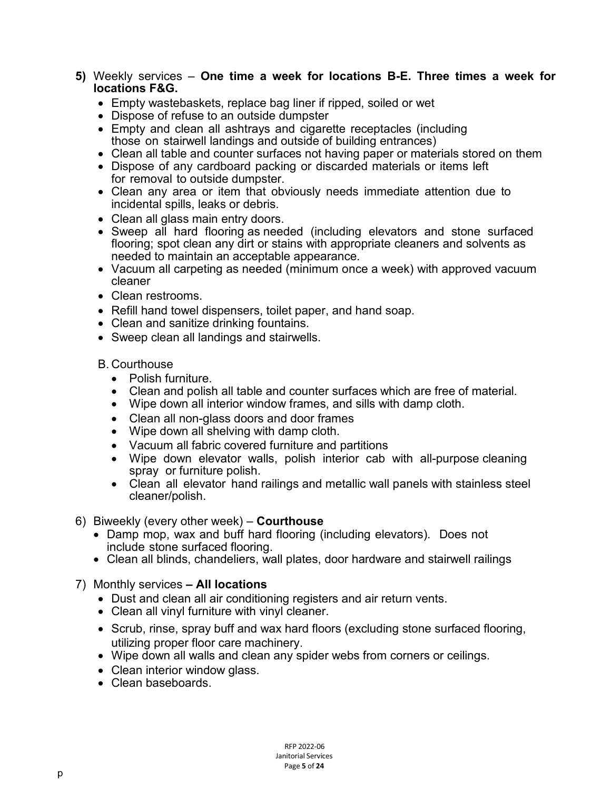- **5)** Weekly services **One time a week for locations B-E. Three times a week for locations F&G.**
	- Empty wastebaskets, replace bag liner if ripped, soiled or wet
	- Dispose of refuse to an outside dumpster
	- Empty and clean all ashtrays and cigarette receptacles (including those on stairwell landings and outside of building entrances)
	- Clean all table and counter surfaces not having paper or materials stored on them
	- Dispose of any cardboard packing or discarded materials or items left for removal to outside dumpster.
	- Clean any area or item that obviously needs immediate attention due to incidental spills, leaks or debris.
	- Clean all glass main entry doors.
	- Sweep all hard flooring as needed (including elevators and stone surfaced flooring; spot clean any dirt or stains with appropriate cleaners and solvents as needed to maintain an acceptable appearance.
	- Vacuum all carpeting as needed (minimum once a week) with approved vacuum cleaner
	- Clean restrooms.
	- Refill hand towel dispensers, toilet paper, and hand soap.
	- Clean and sanitize drinking fountains.
	- Sweep clean all landings and stairwells.

B. Courthouse

- Polish furniture.
- Clean and polish all table and counter surfaces which are free of material.
- Wipe down all interior window frames, and sills with damp cloth.
- Clean all non-glass doors and door frames
- Wipe down all shelving with damp cloth.
- Vacuum all fabric covered furniture and partitions
- Wipe down elevator walls, polish interior cab with all-purpose cleaning spray or furniture polish.
- Clean all elevator hand railings and metallic wall panels with stainless steel cleaner/polish.
- 6) Biweekly (every other week) **Courthouse**
	- Damp mop, wax and buff hard flooring (including elevators). Does not include stone surfaced flooring.
	- Clean all blinds, chandeliers, wall plates, door hardware and stairwell railings
- 7) Monthly services **– All locations**
	- Dust and clean all air conditioning registers and air return vents.
	- Clean all vinyl furniture with vinyl cleaner.
	- Scrub, rinse, spray buff and wax hard floors (excluding stone surfaced flooring, utilizing proper floor care machinery.
	- Wipe down all walls and clean any spider webs from corners or ceilings.
	- Clean interior window glass.
	- Clean baseboards.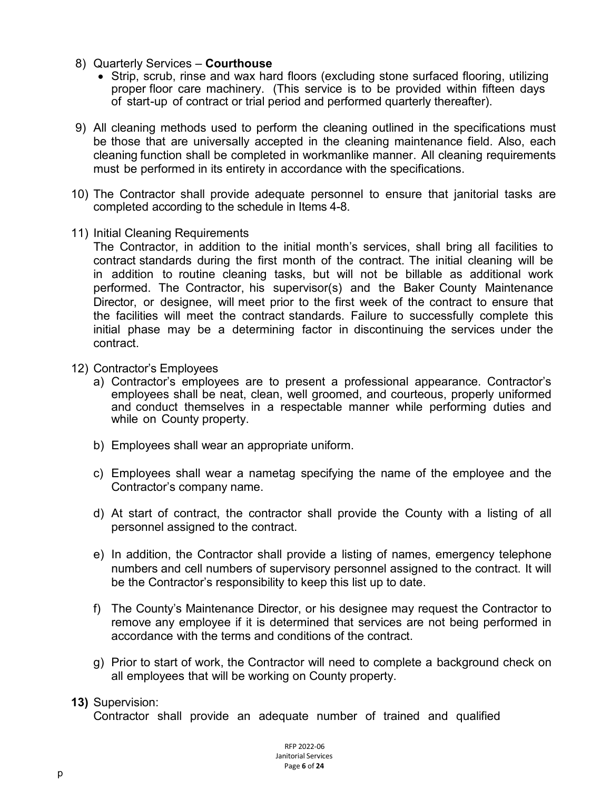- 8) Quarterly Services **Courthouse**
	- Strip, scrub, rinse and wax hard floors (excluding stone surfaced flooring, utilizing proper floor care machinery. (This service is to be provided within fifteen days of start-up of contract or trial period and performed quarterly thereafter).
- 9) All cleaning methods used to perform the cleaning outlined in the specifications must be those that are universally accepted in the cleaning maintenance field. Also, each cleaning function shall be completed in workmanlike manner. All cleaning requirements must be performed in its entirety in accordance with the specifications.
- 10) The Contractor shall provide adequate personnel to ensure that janitorial tasks are completed according to the schedule in Items 4-8.
- 11) Initial Cleaning Requirements

The Contractor, in addition to the initial month's services, shall bring all facilities to contract standards during the first month of the contract. The initial cleaning will be in addition to routine cleaning tasks, but will not be billable as additional work performed. The Contractor, his supervisor(s) and the Baker County Maintenance Director, or designee, will meet prior to the first week of the contract to ensure that the facilities will meet the contract standards. Failure to successfully complete this initial phase may be a determining factor in discontinuing the services under the contract.

- 12) Contractor's Employees
	- a) Contractor's employees are to present a professional appearance. Contractor's employees shall be neat, clean, well groomed, and courteous, properly uniformed and conduct themselves in a respectable manner while performing duties and while on County property.
	- b) Employees shall wear an appropriate uniform.
	- c) Employees shall wear a nametag specifying the name of the employee and the Contractor's company name.
	- d) At start of contract, the contractor shall provide the County with a listing of all personnel assigned to the contract.
	- e) In addition, the Contractor shall provide a listing of names, emergency telephone numbers and cell numbers of supervisory personnel assigned to the contract. It will be the Contractor's responsibility to keep this list up to date.
	- f) The County's Maintenance Director, or his designee may request the Contractor to remove any employee if it is determined that services are not being performed in accordance with the terms and conditions of the contract.
	- g) Prior to start of work, the Contractor will need to complete a background check on all employees that will be working on County property.
- **13)** Supervision:

Contractor shall provide an adequate number of trained and qualified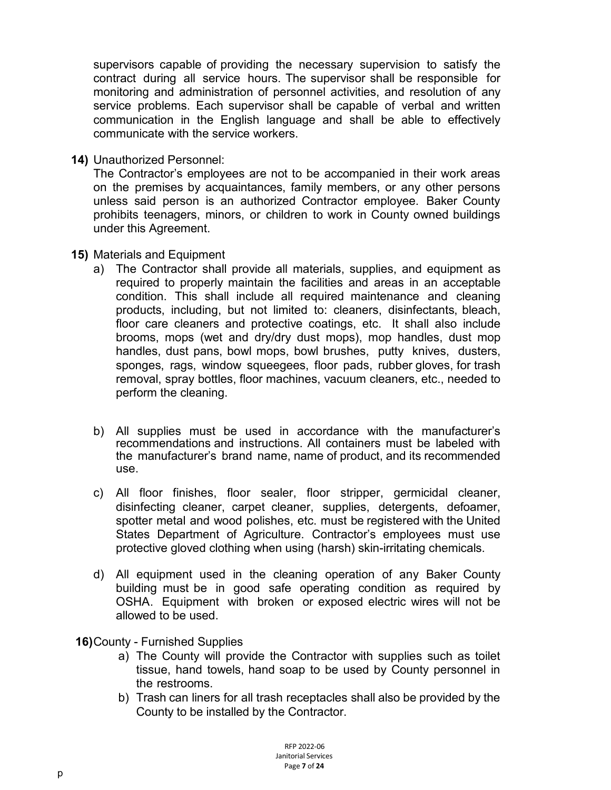supervisors capable of providing the necessary supervision to satisfy the contract during all service hours. The supervisor shall be responsible for monitoring and administration of personnel activities, and resolution of any service problems. Each supervisor shall be capable of verbal and written communication in the English language and shall be able to effectively communicate with the service workers.

**14)** Unauthorized Personnel:

The Contractor's employees are not to be accompanied in their work areas on the premises by acquaintances, family members, or any other persons unless said person is an authorized Contractor employee. Baker County prohibits teenagers, minors, or children to work in County owned buildings under this Agreement.

- **15)** Materials and Equipment
	- a) The Contractor shall provide all materials, supplies, and equipment as required to properly maintain the facilities and areas in an acceptable condition. This shall include all required maintenance and cleaning products, including, but not limited to: cleaners, disinfectants, bleach, floor care cleaners and protective coatings, etc. It shall also include brooms, mops (wet and dry/dry dust mops), mop handles, dust mop handles, dust pans, bowl mops, bowl brushes, putty knives, dusters, sponges, rags, window squeegees, floor pads, rubber gloves, for trash removal, spray bottles, floor machines, vacuum cleaners, etc., needed to perform the cleaning.
	- b) All supplies must be used in accordance with the manufacturer's recommendations and instructions. All containers must be labeled with the manufacturer's brand name, name of product, and its recommended use.
	- c) All floor finishes, floor sealer, floor stripper, germicidal cleaner, disinfecting cleaner, carpet cleaner, supplies, detergents, defoamer, spotter metal and wood polishes, etc. must be registered with the United States Department of Agriculture. Contractor's employees must use protective gloved clothing when using (harsh) skin-irritating chemicals.
	- d) All equipment used in the cleaning operation of any Baker County building must be in good safe operating condition as required by OSHA. Equipment with broken or exposed electric wires will not be allowed to be used.
- **16)**County Furnished Supplies
	- a) The County will provide the Contractor with supplies such as toilet tissue, hand towels, hand soap to be used by County personnel in the restrooms.
	- b) Trash can liners for all trash receptacles shall also be provided by the County to be installed by the Contractor.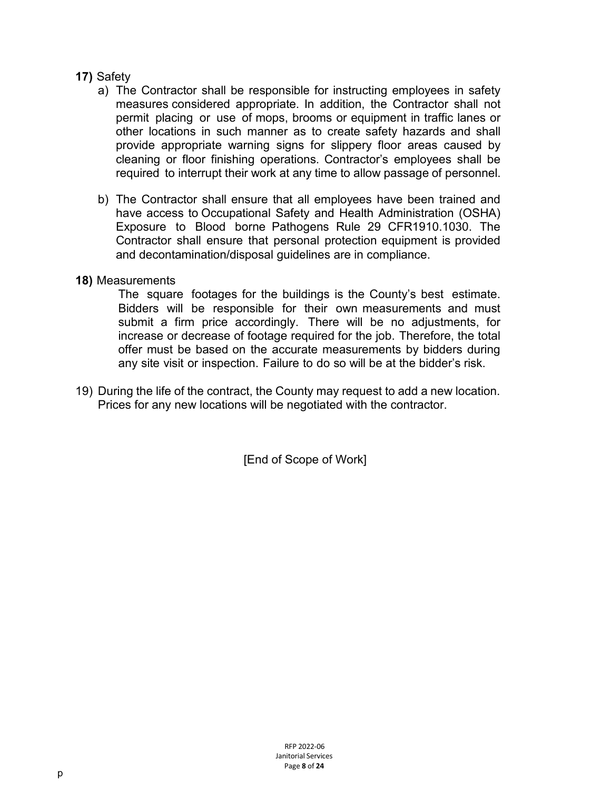#### **17)** Safety

- a) The Contractor shall be responsible for instructing employees in safety measures considered appropriate. In addition, the Contractor shall not permit placing or use of mops, brooms or equipment in traffic lanes or other locations in such manner as to create safety hazards and shall provide appropriate warning signs for slippery floor areas caused by cleaning or floor finishing operations. Contractor's employees shall be required to interrupt their work at any time to allow passage of personnel.
- b) The Contractor shall ensure that all employees have been trained and have access to Occupational Safety and Health Administration (OSHA) Exposure to Blood borne Pathogens Rule 29 CFR1910.1030. The Contractor shall ensure that personal protection equipment is provided and decontamination/disposal guidelines are in compliance.

#### **18)** Measurements

The square footages for the buildings is the County's best estimate. Bidders will be responsible for their own measurements and must submit a firm price accordingly. There will be no adjustments, for increase or decrease of footage required for the job. Therefore, the total offer must be based on the accurate measurements by bidders during any site visit or inspection. Failure to do so will be at the bidder's risk.

19) During the life of the contract, the County may request to add a new location. Prices for any new locations will be negotiated with the contractor.

[End of Scope of Work]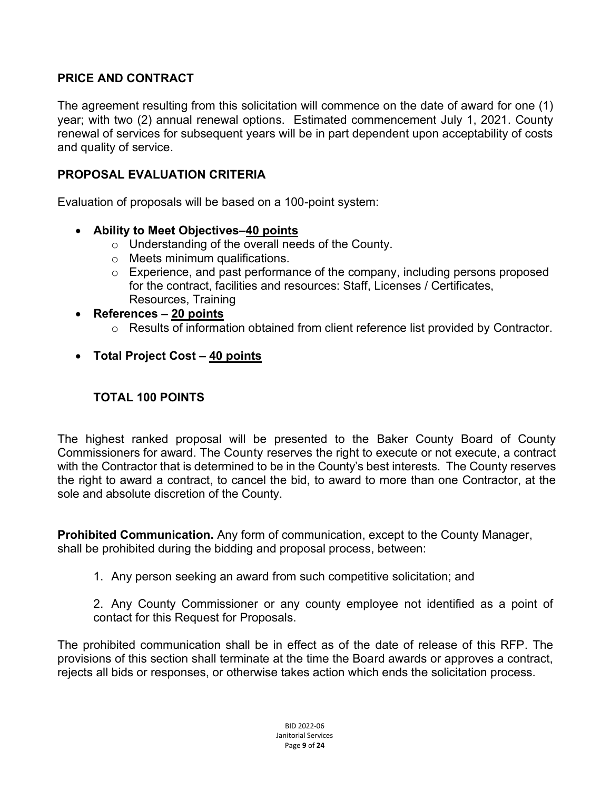#### **PRICE AND CONTRACT**

The agreement resulting from this solicitation will commence on the date of award for one (1) year; with two (2) annual renewal options. Estimated commencement July 1, 2021. County renewal of services for subsequent years will be in part dependent upon acceptability of costs and quality of service.

#### **PROPOSAL EVALUATION CRITERIA**

Evaluation of proposals will be based on a 100-point system:

- **Ability to Meet Objectives–40 points**
	- o Understanding of the overall needs of the County.
	- o Meets minimum qualifications.
	- o Experience, and past performance of the company, including persons proposed for the contract, facilities and resources: Staff, Licenses / Certificates, Resources, Training
- **References – 20 points**
	- o Results of information obtained from client reference list provided by Contractor.
- **Total Project Cost – 40 points**

#### **TOTAL 100 POINTS**

The highest ranked proposal will be presented to the Baker County Board of County Commissioners for award. The County reserves the right to execute or not execute, a contract with the Contractor that is determined to be in the County's best interests. The County reserves the right to award a contract, to cancel the bid, to award to more than one Contractor, at the sole and absolute discretion of the County.

**Prohibited Communication.** Any form of communication, except to the County Manager, shall be prohibited during the bidding and proposal process, between:

1. Any person seeking an award from such competitive solicitation; and

2. Any County Commissioner or any county employee not identified as a point of contact for this Request for Proposals.

The prohibited communication shall be in effect as of the date of release of this RFP. The provisions of this section shall terminate at the time the Board awards or approves a contract, rejects all bids or responses, or otherwise takes action which ends the solicitation process.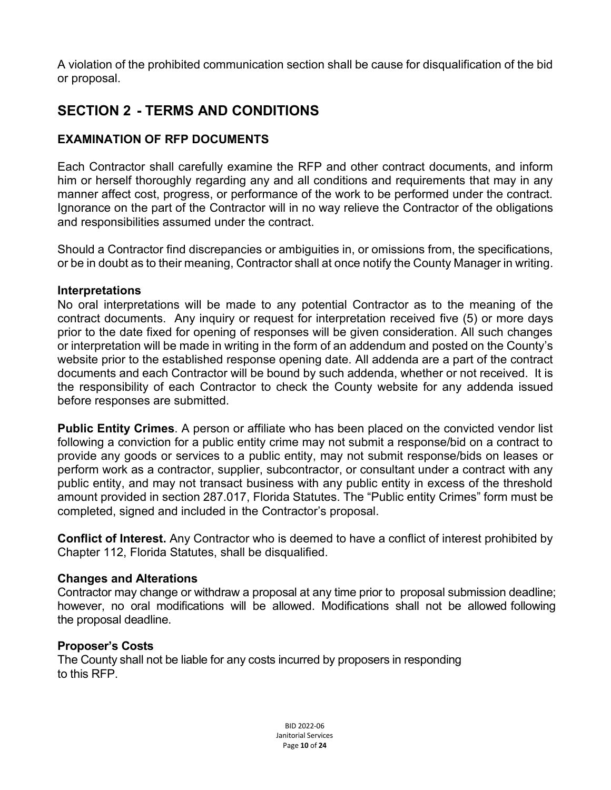A violation of the prohibited communication section shall be cause for disqualification of the bid or proposal.

### **SECTION 2 - TERMS AND CONDITIONS**

#### **EXAMINATION OF RFP DOCUMENTS**

Each Contractor shall carefully examine the RFP and other contract documents, and inform him or herself thoroughly regarding any and all conditions and requirements that may in any manner affect cost, progress, or performance of the work to be performed under the contract. Ignorance on the part of the Contractor will in no way relieve the Contractor of the obligations and responsibilities assumed under the contract.

Should a Contractor find discrepancies or ambiguities in, or omissions from, the specifications, or be in doubt as to their meaning, Contractor shall at once notify the County Manager in writing.

#### **Interpretations**

No oral interpretations will be made to any potential Contractor as to the meaning of the contract documents. Any inquiry or request for interpretation received five (5) or more days prior to the date fixed for opening of responses will be given consideration. All such changes or interpretation will be made in writing in the form of an addendum and posted on the County's website prior to the established response opening date. All addenda are a part of the contract documents and each Contractor will be bound by such addenda, whether or not received. It is the responsibility of each Contractor to check the County website for any addenda issued before responses are submitted.

**Public Entity Crimes**. A person or affiliate who has been placed on the convicted vendor list following a conviction for a public entity crime may not submit a response/bid on a contract to provide any goods or services to a public entity, may not submit response/bids on leases or perform work as a contractor, supplier, subcontractor, or consultant under a contract with any public entity, and may not transact business with any public entity in excess of the threshold amount provided in section 287.017, Florida Statutes. The "Public entity Crimes" form must be completed, signed and included in the Contractor's proposal.

**Conflict of Interest.** Any Contractor who is deemed to have a conflict of interest prohibited by Chapter 112, Florida Statutes, shall be disqualified.

#### **Changes and Alterations**

Contractor may change or withdraw a proposal at any time prior to proposal submission deadline; however, no oral modifications will be allowed. Modifications shall not be allowed following the proposal deadline.

#### **Proposer's Costs**

The County shall not be liable for any costs incurred by proposers in responding to this RFP.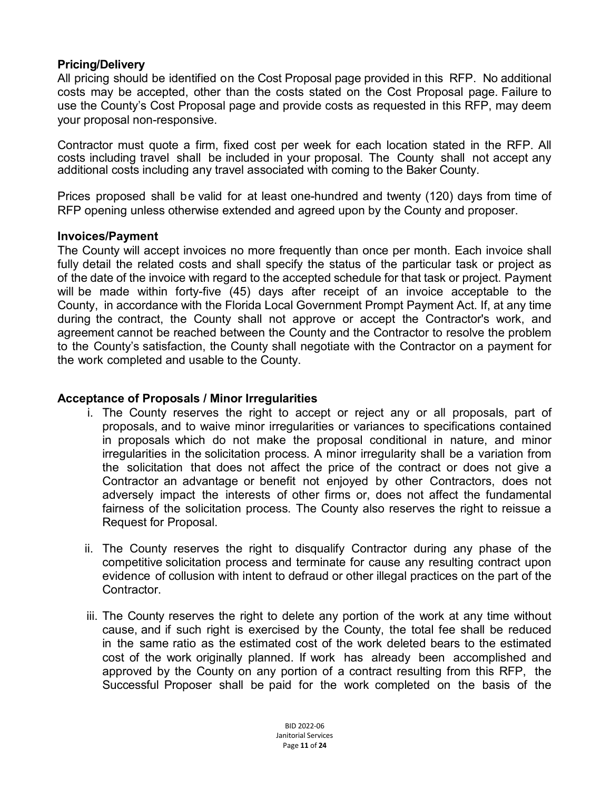#### **Pricing/Delivery**

All pricing should be identified on the Cost Proposal page provided in this RFP. No additional costs may be accepted, other than the costs stated on the Cost Proposal page. Failure to use the County's Cost Proposal page and provide costs as requested in this RFP, may deem your proposal non-responsive.

Contractor must quote a firm, fixed cost per week for each location stated in the RFP. All costs including travel shall be included in your proposal. The County shall not accept any additional costs including any travel associated with coming to the Baker County.

Prices proposed shall be valid for at least one-hundred and twenty (120) days from time of RFP opening unless otherwise extended and agreed upon by the County and proposer.

#### **Invoices/Payment**

The County will accept invoices no more frequently than once per month. Each invoice shall fully detail the related costs and shall specify the status of the particular task or project as of the date of the invoice with regard to the accepted schedule for that task or project. Payment will be made within forty-five (45) days after receipt of an invoice acceptable to the County, in accordance with the Florida Local Government Prompt Payment Act. If, at any time during the contract, the County shall not approve or accept the Contractor's work, and agreement cannot be reached between the County and the Contractor to resolve the problem to the County's satisfaction, the County shall negotiate with the Contractor on a payment for the work completed and usable to the County.

#### **Acceptance of Proposals / Minor Irregularities**

- i. The County reserves the right to accept or reject any or all proposals, part of proposals, and to waive minor irregularities or variances to specifications contained in proposals which do not make the proposal conditional in nature, and minor irregularities in the solicitation process. A minor irregularity shall be a variation from the solicitation that does not affect the price of the contract or does not give a Contractor an advantage or benefit not enjoyed by other Contractors, does not adversely impact the interests of other firms or, does not affect the fundamental fairness of the solicitation process. The County also reserves the right to reissue a Request for Proposal.
- ii. The County reserves the right to disqualify Contractor during any phase of the competitive solicitation process and terminate for cause any resulting contract upon evidence of collusion with intent to defraud or other illegal practices on the part of the Contractor.
- iii. The County reserves the right to delete any portion of the work at any time without cause, and if such right is exercised by the County, the total fee shall be reduced in the same ratio as the estimated cost of the work deleted bears to the estimated cost of the work originally planned. If work has already been accomplished and approved by the County on any portion of a contract resulting from this RFP, the Successful Proposer shall be paid for the work completed on the basis of the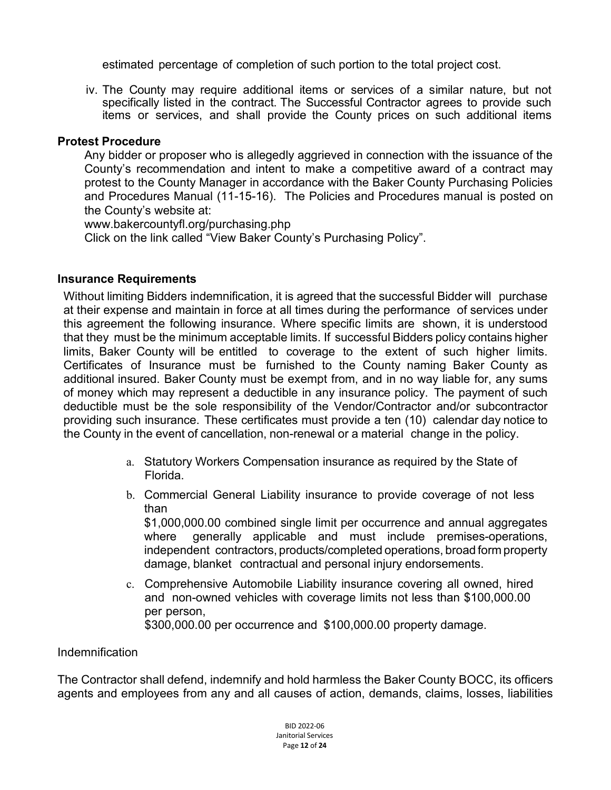estimated percentage of completion of such portion to the total project cost.

iv. The County may require additional items or services of a similar nature, but not specifically listed in the contract. The Successful Contractor agrees to provide such items or services, and shall provide the County prices on such additional items

#### **Protest Procedure**

Any bidder or proposer who is allegedly aggrieved in connection with the issuance of the County's recommendation and intent to make a competitive award of a contract may protest to the County Manager in accordance with the Baker County Purchasing Policies and Procedures Manual (11-15-16). The Policies and Procedures manual is posted on the County's website at:

www.bakercountyfl.org/purchasing.php

Click on the link called "View Baker County's Purchasing Policy".

#### **Insurance Requirements**

Without limiting Bidders indemnification, it is agreed that the successful Bidder will purchase at their expense and maintain in force at all times during the performance of services under this agreement the following insurance. Where specific limits are shown, it is understood that they must be the minimum acceptable limits. If successful Bidders policy contains higher limits, Baker County will be entitled to coverage to the extent of such higher limits. Certificates of Insurance must be furnished to the County naming Baker County as additional insured. Baker County must be exempt from, and in no way liable for, any sums of money which may represent a deductible in any insurance policy. The payment of such deductible must be the sole responsibility of the Vendor/Contractor and/or subcontractor providing such insurance. These certificates must provide a ten (10) calendar day notice to the County in the event of cancellation, non-renewal or a material change in the policy.

- a. Statutory Workers Compensation insurance as required by the State of Florida.
- b. Commercial General Liability insurance to provide coverage of not less than

\$1,000,000.00 combined single limit per occurrence and annual aggregates where generally applicable and must include premises-operations, independent contractors, products/completed operations, broad form property damage, blanket contractual and personal injury endorsements.

c. Comprehensive Automobile Liability insurance covering all owned, hired and non-owned vehicles with coverage limits not less than \$100,000.00 per person, \$300,000.00 per occurrence and \$100,000.00 property damage.

#### Indemnification

The Contractor shall defend, indemnify and hold harmless the Baker County BOCC, its officers agents and employees from any and all causes of action, demands, claims, losses, liabilities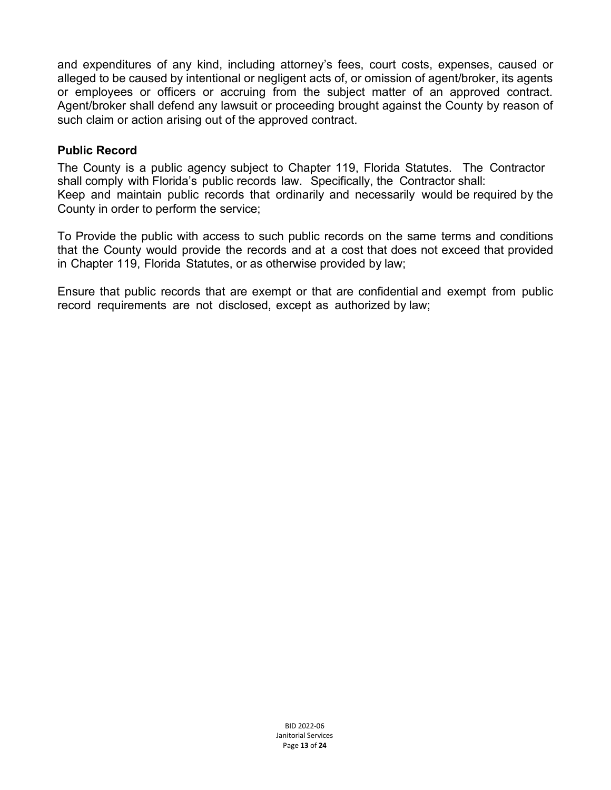and expenditures of any kind, including attorney's fees, court costs, expenses, caused or alleged to be caused by intentional or negligent acts of, or omission of agent/broker, its agents or employees or officers or accruing from the subject matter of an approved contract. Agent/broker shall defend any lawsuit or proceeding brought against the County by reason of such claim or action arising out of the approved contract.

#### **Public Record**

The County is a public agency subject to Chapter 119, Florida Statutes. The Contractor shall comply with Florida's public records law. Specifically, the Contractor shall: Keep and maintain public records that ordinarily and necessarily would be required by the County in order to perform the service;

To Provide the public with access to such public records on the same terms and conditions that the County would provide the records and at a cost that does not exceed that provided in Chapter 119, Florida Statutes, or as otherwise provided by law;

Ensure that public records that are exempt or that are confidential and exempt from public record requirements are not disclosed, except as authorized by law;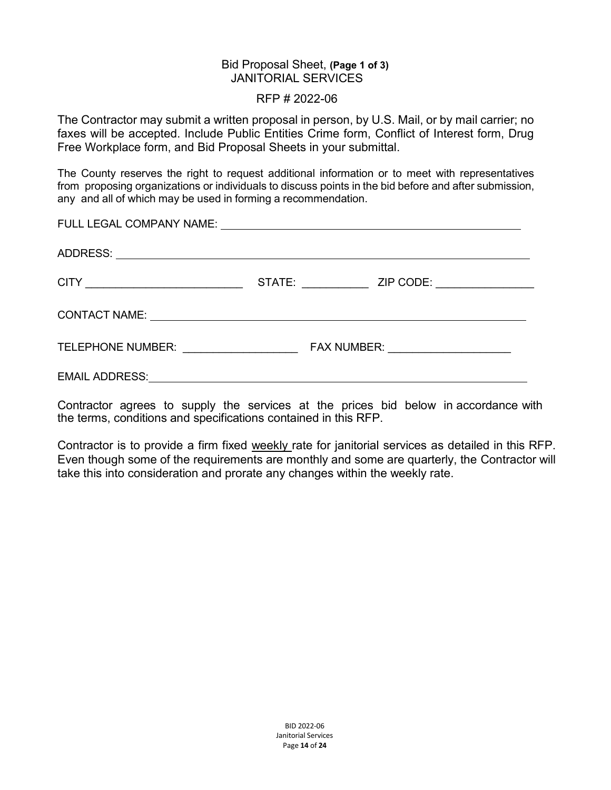#### Bid Proposal Sheet, **(Page 1 of 3)** JANITORIAL SERVICES

#### RFP # 2022-06

The Contractor may submit a written proposal in person, by U.S. Mail, or by mail carrier; no faxes will be accepted. Include Public Entities Crime form, Conflict of Interest form, Drug Free Workplace form, and Bid Proposal Sheets in your submittal.

The County reserves the right to request additional information or to meet with representatives from proposing organizations or individuals to discuss points in the bid before and after submission, any and all of which may be used in forming a recommendation.

|  | FAX NUMBER: ______________________ |
|--|------------------------------------|
|  |                                    |

Contractor agrees to supply the services at the prices bid below in accordance with the terms, conditions and specifications contained in this RFP.

Contractor is to provide a firm fixed weekly rate for janitorial services as detailed in this RFP. Even though some of the requirements are monthly and some are quarterly, the Contractor will take this into consideration and prorate any changes within the weekly rate.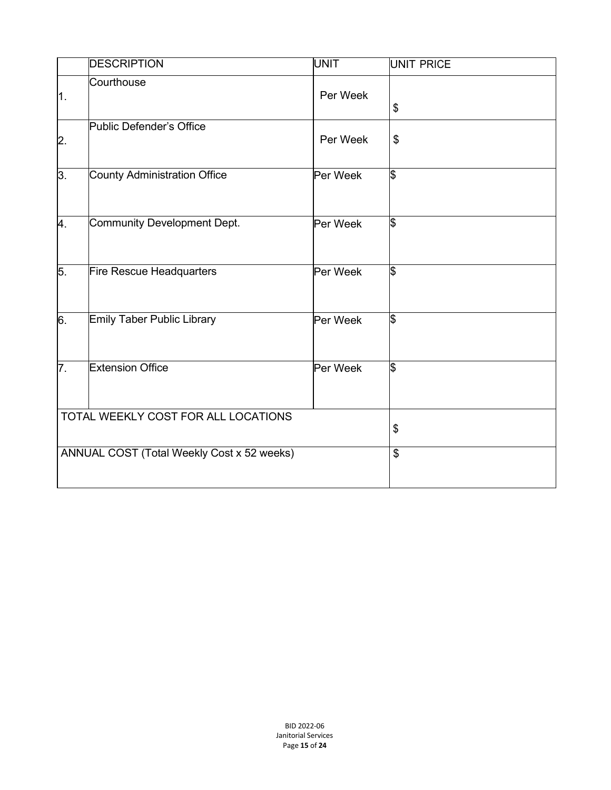|               | <b>DESCRIPTION</b>                         | <b>UNIT</b> | UNIT PRICE              |
|---------------|--------------------------------------------|-------------|-------------------------|
| 1.            | Courthouse                                 | Per Week    | \$                      |
| $\mathsf{2}.$ | Public Defender's Office                   | Per Week    | \$                      |
| 3.            | County Administration Office               | Per Week    | \$                      |
| 4.            | Community Development Dept.                | Per Week    | \$                      |
| 5.            | Fire Rescue Headquarters                   | Per Week    | \$                      |
| 6.            | <b>Emily Taber Public Library</b>          | Per Week    | \$                      |
| 7.            | <b>Extension Office</b>                    | Per Week    | \$                      |
|               | TOTAL WEEKLY COST FOR ALL LOCATIONS        |             | \$                      |
|               | ANNUAL COST (Total Weekly Cost x 52 weeks) |             | $\overline{\mathbf{S}}$ |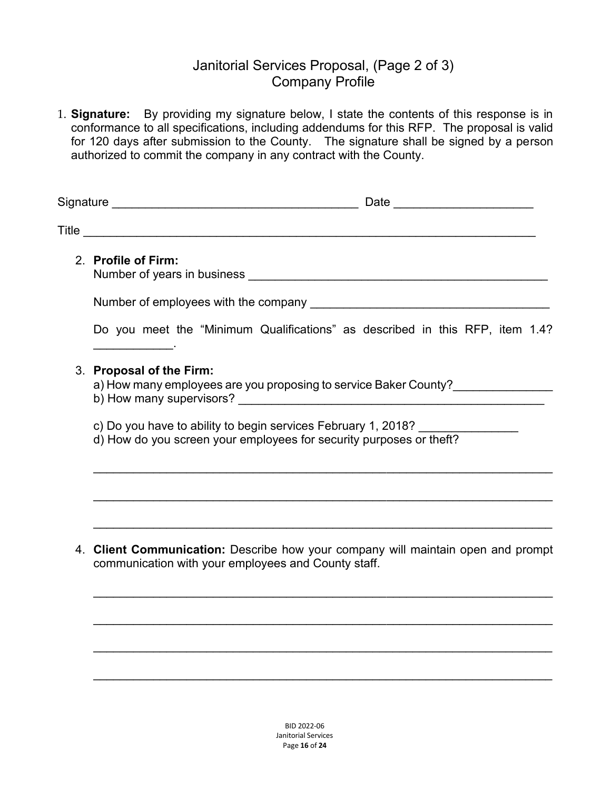#### Janitorial Services Proposal, (Page 2 of 3) Company Profile

1. **Signature:** By providing my signature below, I state the contents of this response is in conformance to all specifications, including addendums for this RFP. The proposal is valid for 120 days after submission to the County. The signature shall be signed by a person authorized to commit the company in any contract with the County.

| 2. Profile of Firm:                                                                                                                                                                                                                                              |  |
|------------------------------------------------------------------------------------------------------------------------------------------------------------------------------------------------------------------------------------------------------------------|--|
|                                                                                                                                                                                                                                                                  |  |
| Do you meet the "Minimum Qualifications" as described in this RFP, item 1.4?<br>the control of the control of the                                                                                                                                                |  |
| 3. Proposal of the Firm:<br>a) How many employees are you proposing to service Baker County?                                                                                                                                                                     |  |
| c) Do you have to ability to begin services February 1, 2018?<br>d) How do you screen your employees for security purposes or theft?                                                                                                                             |  |
|                                                                                                                                                                                                                                                                  |  |
| <u> 1989 - Johann Harry Harry Harry Harry Harry Harry Harry Harry Harry Harry Harry Harry Harry Harry Harry Harry</u><br>4. Client Communication: Describe how your company will maintain open and prompt<br>communication with your employees and County staff. |  |

\_\_\_\_\_\_\_\_\_\_\_\_\_\_\_\_\_\_\_\_\_\_\_\_\_\_\_\_\_\_\_\_\_\_\_\_\_\_\_\_\_\_\_\_\_\_\_\_\_\_\_\_\_\_\_\_\_\_\_\_\_\_\_\_\_\_\_\_\_

 $\mathcal{L}_\mathcal{L} = \mathcal{L}_\mathcal{L} = \mathcal{L}_\mathcal{L} = \mathcal{L}_\mathcal{L} = \mathcal{L}_\mathcal{L} = \mathcal{L}_\mathcal{L} = \mathcal{L}_\mathcal{L} = \mathcal{L}_\mathcal{L} = \mathcal{L}_\mathcal{L} = \mathcal{L}_\mathcal{L} = \mathcal{L}_\mathcal{L} = \mathcal{L}_\mathcal{L} = \mathcal{L}_\mathcal{L} = \mathcal{L}_\mathcal{L} = \mathcal{L}_\mathcal{L} = \mathcal{L}_\mathcal{L} = \mathcal{L}_\mathcal{L}$ 

 $\mathcal{L}_\mathcal{L} = \mathcal{L}_\mathcal{L} = \mathcal{L}_\mathcal{L} = \mathcal{L}_\mathcal{L} = \mathcal{L}_\mathcal{L} = \mathcal{L}_\mathcal{L} = \mathcal{L}_\mathcal{L} = \mathcal{L}_\mathcal{L} = \mathcal{L}_\mathcal{L} = \mathcal{L}_\mathcal{L} = \mathcal{L}_\mathcal{L} = \mathcal{L}_\mathcal{L} = \mathcal{L}_\mathcal{L} = \mathcal{L}_\mathcal{L} = \mathcal{L}_\mathcal{L} = \mathcal{L}_\mathcal{L} = \mathcal{L}_\mathcal{L}$ 

\_\_\_\_\_\_\_\_\_\_\_\_\_\_\_\_\_\_\_\_\_\_\_\_\_\_\_\_\_\_\_\_\_\_\_\_\_\_\_\_\_\_\_\_\_\_\_\_\_\_\_\_\_\_\_\_\_\_\_\_\_\_\_\_\_\_\_\_\_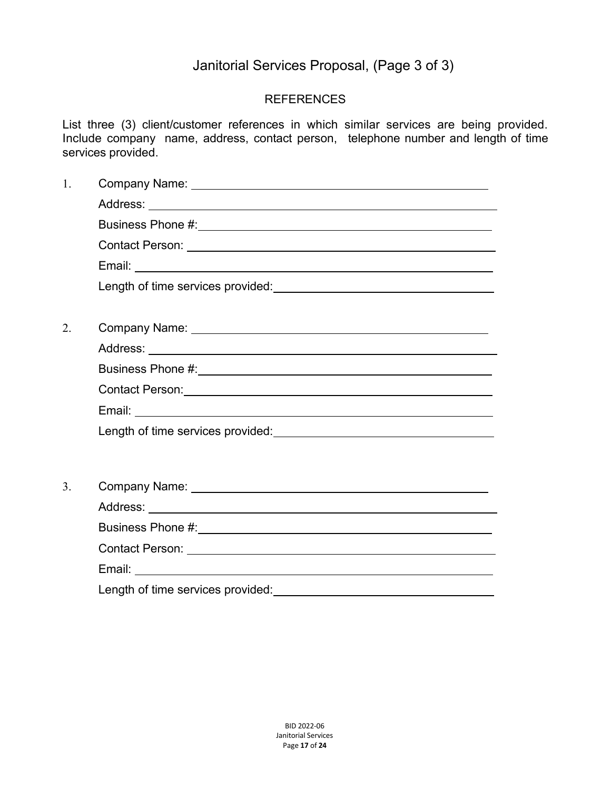## Janitorial Services Proposal, (Page 3 of 3)

#### REFERENCES

List three (3) client/customer references in which similar services are being provided. Include company name, address, contact person, telephone number and length of time services provided.

| 1. |  |
|----|--|
|    |  |
|    |  |
|    |  |
|    |  |
|    |  |
|    |  |
| 2. |  |
|    |  |
|    |  |
|    |  |
|    |  |
|    |  |
|    |  |
| 3. |  |
|    |  |
|    |  |
|    |  |
|    |  |
|    |  |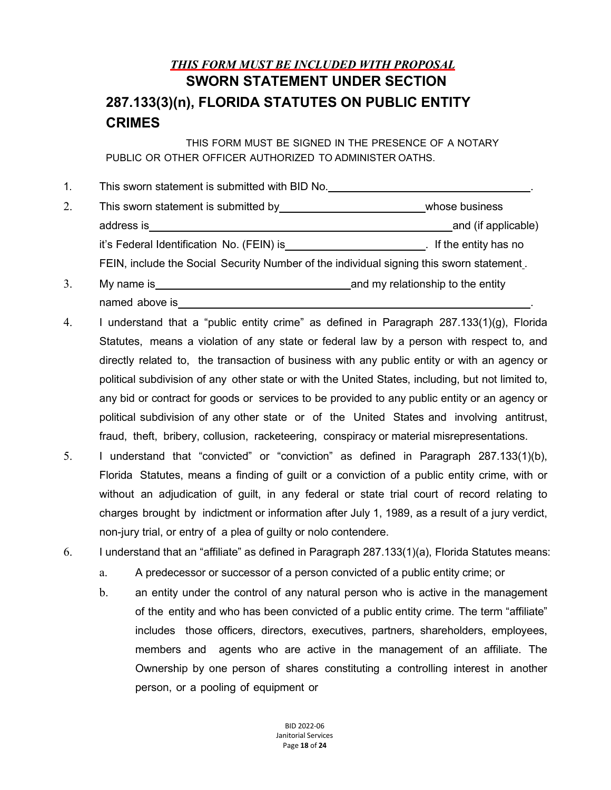## *THIS FORM MUST BE INCLUDED WITH PROPOSAL* **SWORN STATEMENT UNDER SECTION 287.133(3)(n), FLORIDA STATUTES ON PUBLIC ENTITY CRIMES**

THIS FORM MUST BE SIGNED IN THE PRESENCE OF A NOTARY PUBLIC OR OTHER OFFICER AUTHORIZED TO ADMINISTER OATHS.

| 1. | This sworn statement is submitted with BID No.                                                                                                                                                                                 |                                   |
|----|--------------------------------------------------------------------------------------------------------------------------------------------------------------------------------------------------------------------------------|-----------------------------------|
| 2. | This sworn statement is submitted by This sworn statement is submitted by                                                                                                                                                      | whose business                    |
|    | address is a state of the state of the state of the state of the state of the state of the state of the state of the state of the state of the state of the state of the state of the state of the state of the state of the s | and (if applicable)               |
|    | it's Federal Identification No. (FEIN) is                                                                                                                                                                                      | If the entity has no              |
|    | FEIN, include the Social Security Number of the individual signing this sworn statement.                                                                                                                                       |                                   |
|    | My name is                                                                                                                                                                                                                     | and my relationshin to the entity |

- 3. My name is **All According to the entity** and my relationship to the entity named above is
- 4. I understand that a "public entity crime" as defined in Paragraph 287.133(1)(g), Florida Statutes, means a violation of any state or federal law by a person with respect to, and directly related to, the transaction of business with any public entity or with an agency or political subdivision of any other state or with the United States, including, but not limited to, any bid or contract for goods or services to be provided to any public entity or an agency or political subdivision of any other state or of the United States and involving antitrust, fraud, theft, bribery, collusion, racketeering, conspiracy or material misrepresentations.
- 5. I understand that "convicted" or "conviction" as defined in Paragraph 287.133(1)(b), Florida Statutes, means a finding of guilt or a conviction of a public entity crime, with or without an adjudication of guilt, in any federal or state trial court of record relating to charges brought by indictment or information after July 1, 1989, as a result of a jury verdict, non-jury trial, or entry of a plea of guilty or nolo contendere.

6. I understand that an "affiliate" as defined in Paragraph 287.133(1)(a), Florida Statutes means:

- a. A predecessor or successor of a person convicted of a public entity crime; or
- b. an entity under the control of any natural person who is active in the management of the entity and who has been convicted of a public entity crime. The term "affiliate" includes those officers, directors, executives, partners, shareholders, employees, members and agents who are active in the management of an affiliate. The Ownership by one person of shares constituting a controlling interest in another person, or a pooling of equipment or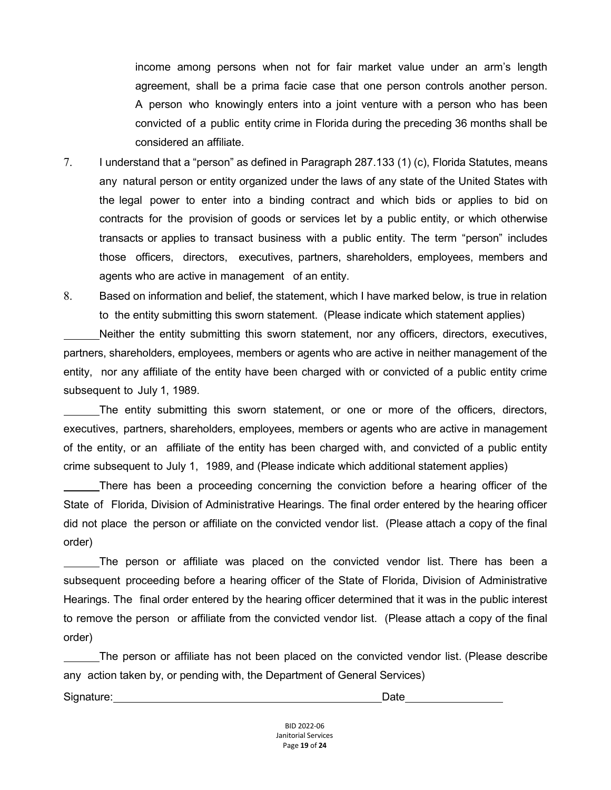income among persons when not for fair market value under an arm's length agreement, shall be a prima facie case that one person controls another person. A person who knowingly enters into a joint venture with a person who has been convicted of a public entity crime in Florida during the preceding 36 months shall be considered an affiliate.

- 7. I understand that a "person" as defined in Paragraph 287.133 (1) (c), Florida Statutes, means any natural person or entity organized under the laws of any state of the United States with the legal power to enter into a binding contract and which bids or applies to bid on contracts for the provision of goods or services let by a public entity, or which otherwise transacts or applies to transact business with a public entity. The term "person" includes those officers, directors, executives, partners, shareholders, employees, members and agents who are active in management of an entity.
- 8. Based on information and belief, the statement, which I have marked below, is true in relation to the entity submitting this sworn statement. (Please indicate which statement applies)

Neither the entity submitting this sworn statement, nor any officers, directors, executives, partners, shareholders, employees, members or agents who are active in neither management of the entity, nor any affiliate of the entity have been charged with or convicted of a public entity crime subsequent to July 1, 1989.

The entity submitting this sworn statement, or one or more of the officers, directors, executives, partners, shareholders, employees, members or agents who are active in management of the entity, or an affiliate of the entity has been charged with, and convicted of a public entity crime subsequent to July 1, 1989, and (Please indicate which additional statement applies)

There has been a proceeding concerning the conviction before a hearing officer of the State of Florida, Division of Administrative Hearings. The final order entered by the hearing officer did not place the person or affiliate on the convicted vendor list. (Please attach a copy of the final order)

The person or affiliate was placed on the convicted vendor list. There has been a subsequent proceeding before a hearing officer of the State of Florida, Division of Administrative Hearings. The final order entered by the hearing officer determined that it was in the public interest to remove the person or affiliate from the convicted vendor list. (Please attach a copy of the final order)

The person or affiliate has not been placed on the convicted vendor list. (Please describe any action taken by, or pending with, the Department of General Services)

Signature: Date **Date** 

BID 2022-06 Janitorial Services Page **19** of **24**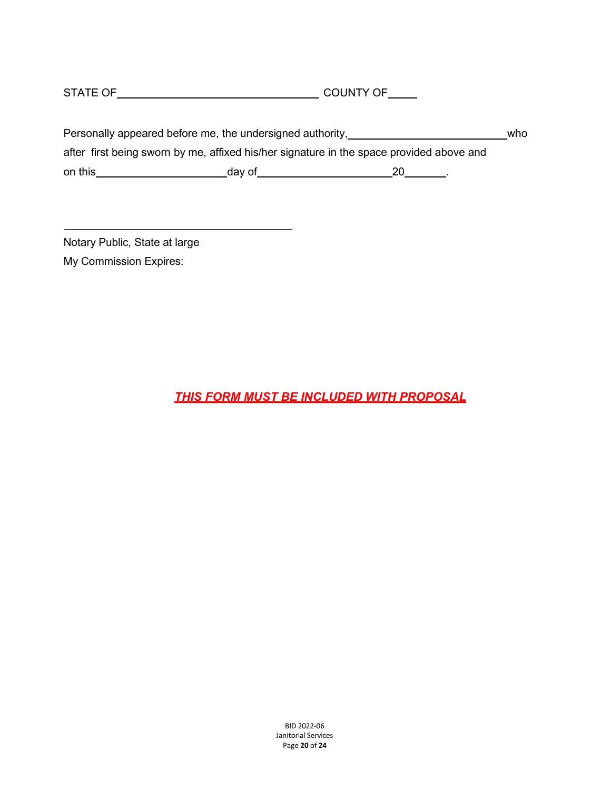STATE OF COUNTY OF

|         | Personally appeared before me, the undersigned authority, |                                                                                          | who |
|---------|-----------------------------------------------------------|------------------------------------------------------------------------------------------|-----|
|         |                                                           | after first being sworn by me, affixed his/her signature in the space provided above and |     |
| on this | day of                                                    | 20                                                                                       |     |

Notary Public, State at large My Commission Expires:

*THIS FORM MUST BE INCLUDED WITH PROPOSAL*

BID 2022-06 Janitorial Services Page **20** of **24**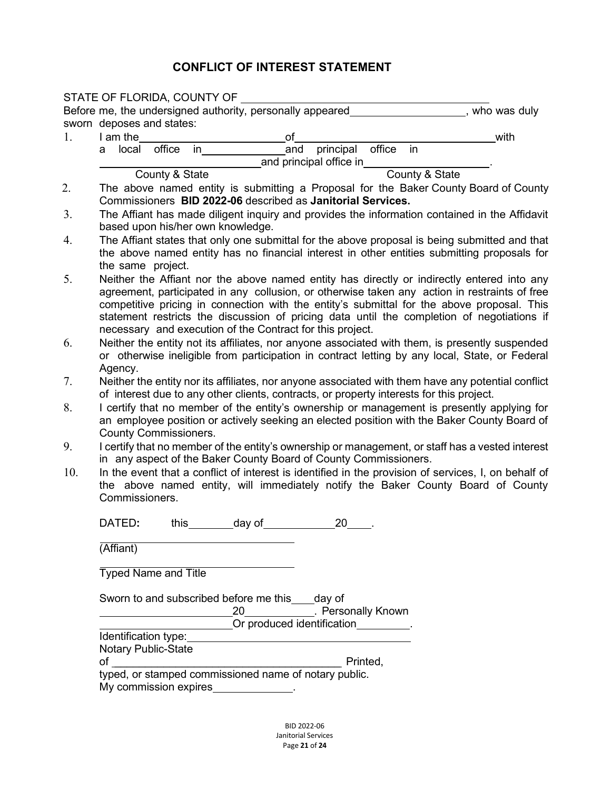#### **CONFLICT OF INTEREST STATEMENT**

|     |                |                              | STATE OF FLORIDA, COUNTY OF       |                 |                                                                                                                                                                                                                                |                                                                                          |          |  |                |                                                                                                                                                                                             |
|-----|----------------|------------------------------|-----------------------------------|-----------------|--------------------------------------------------------------------------------------------------------------------------------------------------------------------------------------------------------------------------------|------------------------------------------------------------------------------------------|----------|--|----------------|---------------------------------------------------------------------------------------------------------------------------------------------------------------------------------------------|
|     |                |                              |                                   |                 |                                                                                                                                                                                                                                | Before me, the undersigned authority, personally appeared                                |          |  |                | who was duly                                                                                                                                                                                |
|     |                | sworn deposes and states:    |                                   |                 |                                                                                                                                                                                                                                |                                                                                          |          |  |                |                                                                                                                                                                                             |
| 1.  |                | I am the                     |                                   |                 | of                                                                                                                                                                                                                             |                                                                                          |          |  |                | with                                                                                                                                                                                        |
|     | a local        | office                       | $\mathsf{in}$                     |                 | _and                                                                                                                                                                                                                           | principal office in                                                                      |          |  |                |                                                                                                                                                                                             |
|     |                |                              |                                   |                 |                                                                                                                                                                                                                                | and principal office in                                                                  |          |  |                |                                                                                                                                                                                             |
| 2.  |                | County & State               |                                   |                 |                                                                                                                                                                                                                                |                                                                                          |          |  | County & State |                                                                                                                                                                                             |
|     |                |                              |                                   |                 |                                                                                                                                                                                                                                |                                                                                          |          |  |                | The above named entity is submitting a Proposal for the Baker County Board of County                                                                                                        |
| 3.  |                |                              |                                   |                 |                                                                                                                                                                                                                                | Commissioners BID 2022-06 described as Janitorial Services.                              |          |  |                |                                                                                                                                                                                             |
|     |                |                              |                                   |                 |                                                                                                                                                                                                                                |                                                                                          |          |  |                | The Affiant has made diligent inquiry and provides the information contained in the Affidavit                                                                                               |
|     |                |                              | based upon his/her own knowledge. |                 |                                                                                                                                                                                                                                |                                                                                          |          |  |                |                                                                                                                                                                                             |
|     |                |                              |                                   |                 |                                                                                                                                                                                                                                |                                                                                          |          |  |                | The Affiant states that only one submittal for the above proposal is being submitted and that                                                                                               |
|     |                |                              |                                   |                 |                                                                                                                                                                                                                                |                                                                                          |          |  |                | the above named entity has no financial interest in other entities submitting proposals for                                                                                                 |
|     |                | the same project.            |                                   |                 |                                                                                                                                                                                                                                |                                                                                          |          |  |                |                                                                                                                                                                                             |
|     |                |                              |                                   |                 |                                                                                                                                                                                                                                |                                                                                          |          |  |                | Neither the Affiant nor the above named entity has directly or indirectly entered into any<br>agreement, participated in any collusion, or otherwise taken any action in restraints of free |
|     |                |                              |                                   |                 |                                                                                                                                                                                                                                |                                                                                          |          |  |                | competitive pricing in connection with the entity's submittal for the above proposal. This                                                                                                  |
|     |                |                              |                                   |                 |                                                                                                                                                                                                                                |                                                                                          |          |  |                | statement restricts the discussion of pricing data until the completion of negotiations if                                                                                                  |
|     |                |                              |                                   |                 |                                                                                                                                                                                                                                | necessary and execution of the Contract for this project.                                |          |  |                |                                                                                                                                                                                             |
|     |                |                              |                                   |                 |                                                                                                                                                                                                                                |                                                                                          |          |  |                | Neither the entity not its affiliates, nor anyone associated with them, is presently suspended                                                                                              |
|     |                |                              |                                   |                 |                                                                                                                                                                                                                                |                                                                                          |          |  |                | or otherwise ineligible from participation in contract letting by any local, State, or Federal                                                                                              |
|     | Agency.        |                              |                                   |                 |                                                                                                                                                                                                                                |                                                                                          |          |  |                |                                                                                                                                                                                             |
|     |                |                              |                                   |                 |                                                                                                                                                                                                                                |                                                                                          |          |  |                | Neither the entity nor its affiliates, nor anyone associated with them have any potential conflict                                                                                          |
|     |                |                              |                                   |                 |                                                                                                                                                                                                                                | of interest due to any other clients, contracts, or property interests for this project. |          |  |                |                                                                                                                                                                                             |
|     |                |                              |                                   |                 |                                                                                                                                                                                                                                |                                                                                          |          |  |                | I certify that no member of the entity's ownership or management is presently applying for                                                                                                  |
|     |                |                              |                                   |                 |                                                                                                                                                                                                                                |                                                                                          |          |  |                | an employee position or actively seeking an elected position with the Baker County Board of                                                                                                 |
|     |                | <b>County Commissioners.</b> |                                   |                 |                                                                                                                                                                                                                                |                                                                                          |          |  |                |                                                                                                                                                                                             |
|     |                |                              |                                   |                 |                                                                                                                                                                                                                                |                                                                                          |          |  |                | I certify that no member of the entity's ownership or management, or staff has a vested interest                                                                                            |
|     |                |                              |                                   |                 |                                                                                                                                                                                                                                | in any aspect of the Baker County Board of County Commissioners.                         |          |  |                |                                                                                                                                                                                             |
| 10. |                |                              |                                   |                 |                                                                                                                                                                                                                                |                                                                                          |          |  |                | In the event that a conflict of interest is identified in the provision of services, I, on behalf of                                                                                        |
|     |                |                              |                                   |                 |                                                                                                                                                                                                                                |                                                                                          |          |  |                | the above named entity, will immediately notify the Baker County Board of County                                                                                                            |
|     | Commissioners. |                              |                                   |                 |                                                                                                                                                                                                                                |                                                                                          |          |  |                |                                                                                                                                                                                             |
|     |                |                              |                                   |                 |                                                                                                                                                                                                                                |                                                                                          |          |  |                |                                                                                                                                                                                             |
|     | DATED:         | this_                        |                                   | _______day of__ |                                                                                                                                                                                                                                | 20                                                                                       |          |  |                |                                                                                                                                                                                             |
|     | (Affiant)      |                              |                                   |                 |                                                                                                                                                                                                                                |                                                                                          |          |  |                |                                                                                                                                                                                             |
|     |                |                              |                                   |                 |                                                                                                                                                                                                                                |                                                                                          |          |  |                |                                                                                                                                                                                             |
|     |                | <b>Typed Name and Title</b>  |                                   |                 |                                                                                                                                                                                                                                |                                                                                          |          |  |                |                                                                                                                                                                                             |
|     |                |                              |                                   |                 |                                                                                                                                                                                                                                |                                                                                          |          |  |                |                                                                                                                                                                                             |
|     |                |                              |                                   |                 | Sworn to and subscribed before me this ____ day of                                                                                                                                                                             |                                                                                          |          |  |                |                                                                                                                                                                                             |
|     |                |                              |                                   |                 |                                                                                                                                                                                                                                |                                                                                          |          |  |                |                                                                                                                                                                                             |
|     |                |                              |                                   |                 |                                                                                                                                                                                                                                | _20_______________. Personally Known<br>_Or produced identification__________.           |          |  |                |                                                                                                                                                                                             |
|     |                |                              |                                   |                 | Identification type: Management of the state of the state of the state of the state of the state of the state of the state of the state of the state of the state of the state of the state of the state of the state of the s |                                                                                          |          |  |                |                                                                                                                                                                                             |
|     |                | <b>Notary Public-State</b>   |                                   |                 |                                                                                                                                                                                                                                |                                                                                          |          |  |                |                                                                                                                                                                                             |
|     |                |                              |                                   |                 |                                                                                                                                                                                                                                |                                                                                          | Printed, |  |                |                                                                                                                                                                                             |
|     |                |                              |                                   |                 |                                                                                                                                                                                                                                |                                                                                          |          |  |                |                                                                                                                                                                                             |
|     |                |                              |                                   |                 | My commission expires <b>My commission</b> expires                                                                                                                                                                             |                                                                                          |          |  |                |                                                                                                                                                                                             |
|     |                |                              |                                   |                 |                                                                                                                                                                                                                                |                                                                                          |          |  |                |                                                                                                                                                                                             |
|     |                |                              |                                   |                 |                                                                                                                                                                                                                                |                                                                                          |          |  |                |                                                                                                                                                                                             |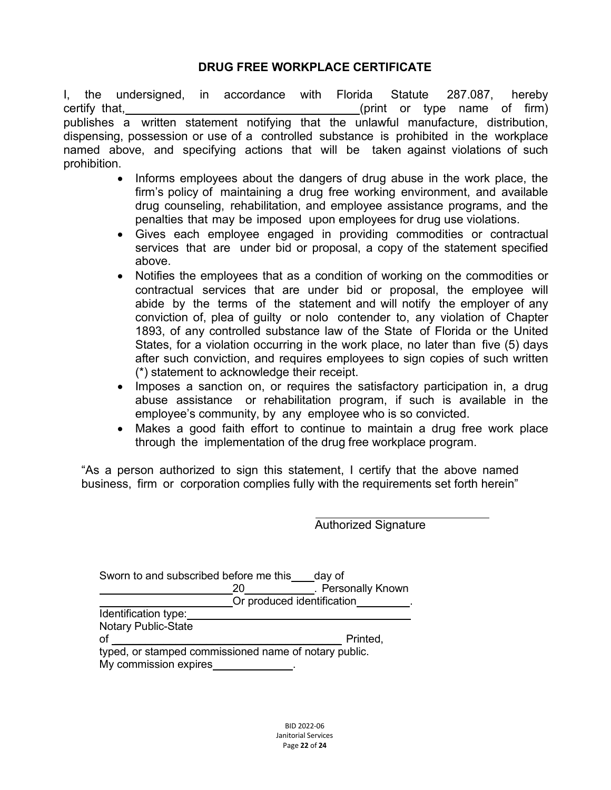#### **DRUG FREE WORKPLACE CERTIFICATE**

I, the undersigned, in accordance with Florida Statute 287.087, hereby certify that, (print or type name of firm) publishes a written statement notifying that the unlawful manufacture, distribution, dispensing, possession or use of a controlled substance is prohibited in the workplace named above, and specifying actions that will be taken against violations of such prohibition.

- Informs employees about the dangers of drug abuse in the work place, the firm's policy of maintaining a drug free working environment, and available drug counseling, rehabilitation, and employee assistance programs, and the penalties that may be imposed upon employees for drug use violations.
- Gives each employee engaged in providing commodities or contractual services that are under bid or proposal, a copy of the statement specified above.
- Notifies the employees that as a condition of working on the commodities or contractual services that are under bid or proposal, the employee will abide by the terms of the statement and will notify the employer of any conviction of, plea of guilty or nolo contender to, any violation of Chapter 1893, of any controlled substance law of the State of Florida or the United States, for a violation occurring in the work place, no later than five (5) days after such conviction, and requires employees to sign copies of such written (\*) statement to acknowledge their receipt.
- Imposes a sanction on, or requires the satisfactory participation in, a drug abuse assistance or rehabilitation program, if such is available in the employee's community, by any employee who is so convicted.
- Makes a good faith effort to continue to maintain a drug free work place through the implementation of the drug free workplace program.

"As a person authorized to sign this statement, I certify that the above named business, firm or corporation complies fully with the requirements set forth herein"

Authorized Signature

| Sworn to and subscribed before me this                |                            | day of             |
|-------------------------------------------------------|----------------------------|--------------------|
|                                                       | 20                         | . Personally Known |
|                                                       | Or produced identification |                    |
| Identification type:                                  |                            |                    |
| <b>Notary Public-State</b>                            |                            |                    |
| of                                                    |                            | Printed,           |
| typed, or stamped commissioned name of notary public. |                            |                    |
| My commission expires                                 |                            |                    |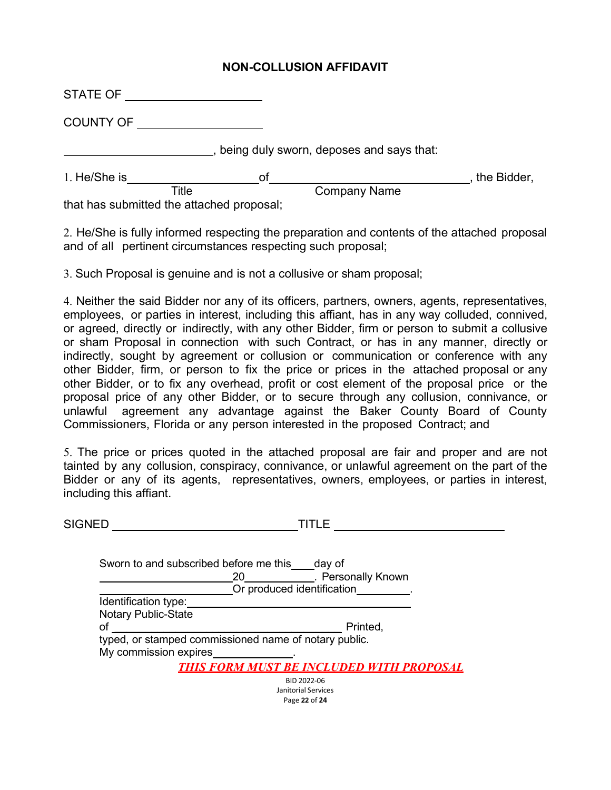#### **NON-COLLUSION AFFIDAVIT**

| STATE OF                                  |    |                                          |             |
|-------------------------------------------|----|------------------------------------------|-------------|
| <b>COUNTY OF</b>                          |    |                                          |             |
|                                           |    | being duly sworn, deposes and says that: |             |
| 1. He/She is                              | оf |                                          | the Bidder, |
| Title                                     |    | <b>Company Name</b>                      |             |
| that has submitted the attached proposal; |    |                                          |             |

2. He/She is fully informed respecting the preparation and contents of the attached proposal and of all pertinent circumstances respecting such proposal;

3. Such Proposal is genuine and is not a collusive or sham proposal;

4. Neither the said Bidder nor any of its officers, partners, owners, agents, representatives, employees, or parties in interest, including this affiant, has in any way colluded, connived, or agreed, directly or indirectly, with any other Bidder, firm or person to submit a collusive or sham Proposal in connection with such Contract, or has in any manner, directly or indirectly, sought by agreement or collusion or communication or conference with any other Bidder, firm, or person to fix the price or prices in the attached proposal or any other Bidder, or to fix any overhead, profit or cost element of the proposal price or the proposal price of any other Bidder, or to secure through any collusion, connivance, or unlawful agreement any advantage against the Baker County Board of County Commissioners, Florida or any person interested in the proposed Contract; and

5. The price or prices quoted in the attached proposal are fair and proper and are not tainted by any collusion, conspiracy, connivance, or unlawful agreement on the part of the Bidder or any of its agents, representatives, owners, employees, or parties in interest, including this affiant.

| SIGNED                     | TITLE                                                                                                            |
|----------------------------|------------------------------------------------------------------------------------------------------------------|
|                            | Sworn to and subscribed before me this day of<br>20 ____________. Personally Known<br>Or produced identification |
| Identification type:       |                                                                                                                  |
| <b>Notary Public-State</b> |                                                                                                                  |
| of                         | Printed,                                                                                                         |
|                            | typed, or stamped commissioned name of notary public.                                                            |
| My commission expires      |                                                                                                                  |
|                            | <b>THIS FORM MUST BE INCLUDED WITH PROPOSAL</b>                                                                  |
|                            | BID 2022-06<br>Janitorial Services                                                                               |

Page **22** of **24**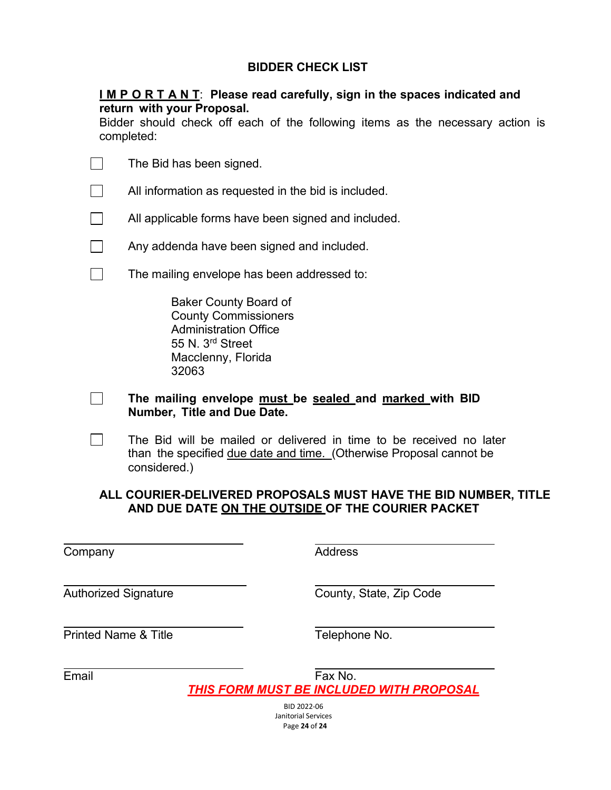#### **BIDDER CHECK LIST**

#### **I M P O R T A N T**: **Please read carefully, sign in the spaces indicated and return with your Proposal.**

Bidder should check off each of the following items as the necessary action is completed:

|                             | The Bid has been signed.                                                                                                                       |                                                                                                                                            |  |  |  |
|-----------------------------|------------------------------------------------------------------------------------------------------------------------------------------------|--------------------------------------------------------------------------------------------------------------------------------------------|--|--|--|
|                             | All information as requested in the bid is included.                                                                                           |                                                                                                                                            |  |  |  |
|                             | All applicable forms have been signed and included.                                                                                            |                                                                                                                                            |  |  |  |
|                             | Any addenda have been signed and included.                                                                                                     |                                                                                                                                            |  |  |  |
|                             | The mailing envelope has been addressed to:                                                                                                    |                                                                                                                                            |  |  |  |
|                             | <b>Baker County Board of</b><br><b>County Commissioners</b><br><b>Administration Office</b><br>55 N. 3rd Street<br>Macclenny, Florida<br>32063 |                                                                                                                                            |  |  |  |
|                             | The mailing envelope must be sealed and marked with BID<br>Number, Title and Due Date.                                                         |                                                                                                                                            |  |  |  |
|                             | considered.)                                                                                                                                   | The Bid will be mailed or delivered in time to be received no later<br>than the specified due date and time. (Otherwise Proposal cannot be |  |  |  |
|                             | AND DUE DATE ON THE OUTSIDE OF THE COURIER PACKET                                                                                              | ALL COURIER-DELIVERED PROPOSALS MUST HAVE THE BID NUMBER, TITLE                                                                            |  |  |  |
| Company                     |                                                                                                                                                | <b>Address</b>                                                                                                                             |  |  |  |
| <b>Authorized Signature</b> |                                                                                                                                                | County, State, Zip Code                                                                                                                    |  |  |  |

Printed Name & Title Telephone No.

Email Fax No. *THIS FORM MUST BE INCLUDED WITH PROPOSAL*

> BID 2022-06 Janitorial Services Page **24** of **24**